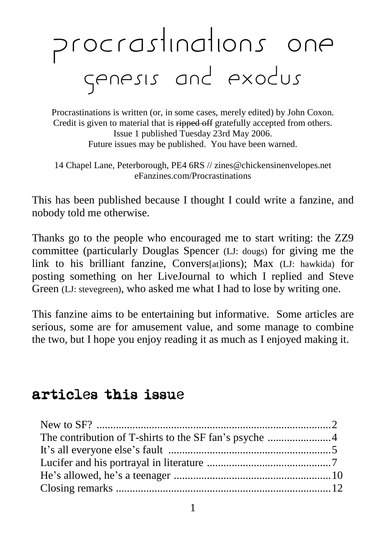# Procrastinations one Genesis and exodus

Procrastinations is written (or, in some cases, merely edited) by John Coxon. Credit is given to material that is ripped off gratefully accepted from others. Issue 1 published Tuesday 23rd May 2006. Future issues may be published. You have been warned.

14 Chapel Lane, Peterborough, PE4 6RS // [zines@chickensinenvelopes.net](mailto:zines@chickensinenvelopes.net) eFanzines.com/Procrastinations

This has been published because I thought I could write a fanzine, and nobody told me otherwise.

Thanks go to the people who encouraged me to start writing: the ZZ9 committee (particularly Douglas Spencer (LJ: dougs) for giving me the link to his brilliant fanzine, Convers[at]ions); Max (LJ: hawkida) for posting something on her LiveJournal to which I replied and Steve Green (LJ: stevegreen), who asked me what I had to lose by writing one.

This fanzine aims to be entertaining but informative. Some articles are serious, some are for amusement value, and some manage to combine the two, but I hope you enjoy reading it as much as I enjoyed making it.

## articles this issue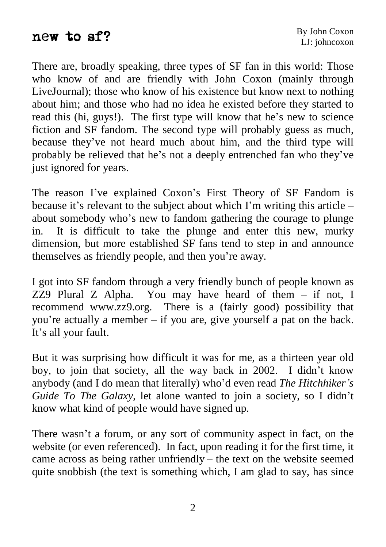### new to sf?

There are, broadly speaking, three types of SF fan in this world: Those who know of and are friendly with John Coxon (mainly through LiveJournal); those who know of his existence but know next to nothing about him; and those who had no idea he existed before they started to LiveJournal); those who know of his existence but know next to nothing about him; and those who had no idea he existed before they started to read this (hi, guys!). The first type will know that he's new to science fiction and SF fandom. The second type will probably guess as much, read this (hi, guys!). The first type will know that he's new to science fiction and SF fandom. The second type will probably guess as much, because they've not heard much about him, and the third type will fiction and SF fandom. The second type will probably guess as much, because they've not heard much about him, and the third type will probably be relieved that he's not a deeply entrenched fan who they've just ignored for years. The reason I've explained Coxon's First Theory of SF Fandom is

The reason I've explained Coxon's First Theory of SF Fandom is<br>because it's relevant to the subject about which I'm writing this article – because it's relevant to the subject about which I'm writing this article  $-$  about somebody who's new to fandom gathering the courage to plunge in. It is difficult to take the plunge and enter this new, murky dimension, but more established SF fans tend to step in and announce in. It is difficult to take the plunge and enter thi dimension, but more established SF fans tend to step in themselves as friendly people, and then you're away.

I got into SF fandom through a very friendly bunch of people known as ZZ9 Plural Z Alpha. You may have heard of them  $-$  if not, I recommend [www.zz9.org.](http://www.zz9.org.) There is a (fairly good) possibility that ZZ9 Plural Z Alpha. You may have heard of them – if not, I recommend www.zz9.org. There is a (fairly good) possibility that you're actually a member – if you are, give yourself a pat on the back. recommend www.zzg<br>you're actually a men<br>It's all your fault.

But it was surprising how difficult it was for me, as a thirteen year old But it was surprising how difficult it was for me, as a thirteen year old boy, to join that society, all the way back in 2002. I didn't know But it was surprising how difficult it was for me, as a thirteen year old boy, to join that society, all the way back in 2002. I didn't know anybody (and I do mean that literally) who'd even read *The Hitchhiker*'s boy, to join that society, all the way back in 2002. I didn<sup>'</sup>t know anybody (and I do mean that literally) who'd even read *The Hitchhiker's Guide To The Galaxy*, let alone wanted to join a society, so I didn't know what kind of people would have signed up.

There wasn't a forum, or any sort of community aspect in fact, on the website (or even referenced). In fact, upon reading it for the first time, it There wasn't a forum, or any sort of community aspect in fact, on the website (or even referenced). In fact, upon reading it for the first time, it came across as being rather unfriendly – the text on the website seemed quite snobbish (the text is something which, I am glad to say, has since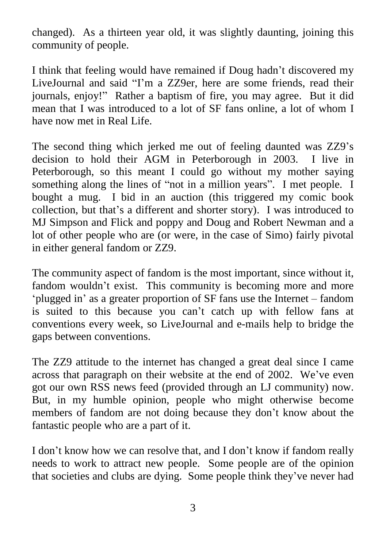changed). As a thirteen year old, it was slightly daunting, joining this community of people.

I think that feeling would have remained if Doug hadn't discovered my LiveJournal and said "I'm a ZZ9er, here are some friends, read their journals, enjoy!" Rather a baptism of fire, you may agree. But it did mean that I was introduced to a lot of SF fans online, a lot of whom I have now met in Real Life.

The second thing which jerked me out of feeling daunted was ZZ9's decision to hold their AGM in Peterborough in 2003. I live in Peterborough, so this meant I could go without my mother saying decision to hold their AGM in Peterborough in 2003. I live in<br>Peterborough, so this meant I could go without my mother saying<br>something along the lines of "not in a million years". I met people. I bought a mug. I bid in an auction (this triggered my comic book something along the lines of "not in a million years". I met people. I bought a mug. I bid in an auction (this triggered my comic book collection, but that's a different and shorter story). I was introduced to MJ Simpson and Flick and poppy and Doug and Robert Newman and a lot of other people who are (or were, in the case of Simo) fairly pivotal in either general fandom or ZZ9.

The community aspect of fandom is the most important, since without it, ëfandom wouldn't exist. This community is becoming more and more The community aspect of fandom is the most important, since without it, andom wouldn't exist. This community is becoming more and more plugged in' as a greater proportion of SF fans use the Internet – fandom fandom wouldn't exist. This community is becoming more and more 'plugged in' as a greater proportion of SF fans use the Internet – fandom is suited to this because you can't catch up with fellow fans at conventions every week, so LiveJournal and e-mails help to bridge the gaps between conventions.

The ZZ9 attitude to the internet has changed a great deal since I came across that paragraph on their website at the end of 2002. We've even got our own RSS news feed (provided through an LJ community) now.<br>But, in my humble opinion, people who might otherwise become<br>members of fandom are not doing because they don't know about the But, in my humble opinion, people who might otherwise become fantastic people who are a part of it.

I don't know how we can resolve that, and I don't know if fandom really needs to work to attract new people. Some people are of the opinion I don't know how we can resolve that, and I don't know if fandom really<br>needs to work to attract new people. Some people are of the opinion<br>that societies and clubs are dying. Some people think they've never had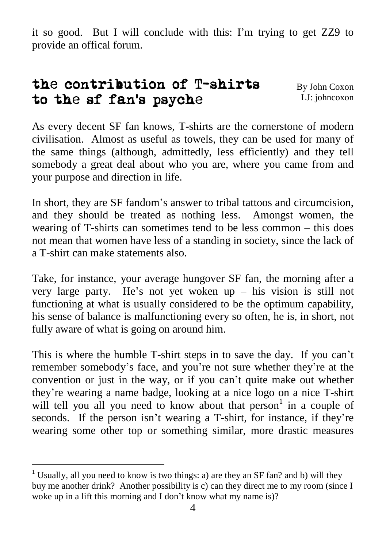it so good. But I will conclude with this: I'm trying to get ZZ9 to provide an offical forum.

#### the contribution of T-shirts to the sf fanís psyche By John Coxon LJ: johncoxon

As every decent SF fan knows, T-shirts are the cornerstone of modern civilisation. Almost as useful as towels, they can be used for many of the same things (although, admittedly, less efficiently) and they tell somebody a great deal about who you are, where you came from and your purpose and direction in life.

In short, they are SF fandom's answer to tribal tattoos and circumcision, and they should be treated as nothing less. Amongst women, the In short, they are SF fandom's answer to tribal tattoos and circumcision, and they should be treated as nothing less. Amongst women, the wearing of T-shirts can sometimes tend to be less common – this does not mean that women have less of a standing in society, since the lack of a T-shirt can make statements also.

Take, for instance, your average hungover SF fan, the morning after a very large party. He's not yet woken up  $-$  his vision is still not functioning at what is usually considered to be the optimum capability, his sense of balance is malfunctioning every so often, he is, in short, not fully aware of what is going on around him. fully aware of what is going on around him.<br>This is where the humble T-shirt steps in to save the day. If you can't

This is where the humble T-shirt steps in to save the day. If you can't remember somebody's face, and you're not sure whether they're at the This is where the humble T-shirt steps in to save the day. If you can't remember somebody's face, and you're not sure whether they're at the convention or just in the way, or if you can't quite make out whether remember somebody's face, and you're not sure whether they're at the convention or just in the way, or if you can't quite make out whether they're wearing a name badge, looking at a nice logo on a nice T-shirt will tell you all you need to know about that person<sup>1</sup> in a couple of they're wearing a name badge, looking at a nice logo on a nice T-shirt will tell you all you need to know about that person<sup>1</sup> in a couple of seconds. If the person isn't wearing a T-shirt, for instance, if they're wearing some other top or something similar, more drastic measures

<sup>&</sup>lt;sup>1</sup> Usually, all you need to know is two things: a) are they an SF fan? and b) will they buy me another drink? Another possibility is c) can they direct me to my room (since I woke up in a lift this morning and I don't know what my name is)?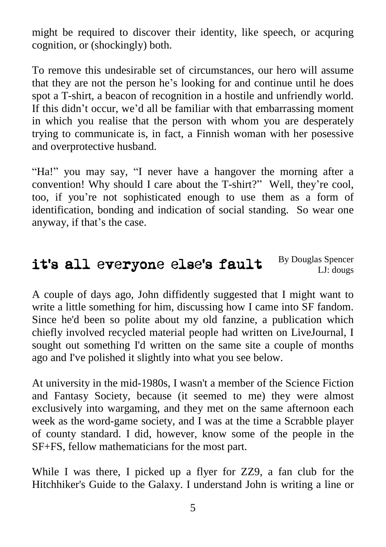might be required to discover their identity, like speech, or acquring cognition, or (shockingly) both.

To remove this undesirable set of circumstances, our hero will assume To remove this undesirable set of circumstances, our hero will assume that they are not the person he's looking for and continue until he does spot a T-shirt, a beacon of recognition in a hostile and unfriendly world. that they are not the person he's looking for and continue until he does<br>spot a T-shirt, a beacon of recognition in a hostile and unfriendly world.<br>If this didn't occur, we'd all be familiar with that embarrassing moment in which you realise that the person with whom you are desperately trying to communicate is, in fact, a Finnish woman with her posessive and overprotective husband.

"Ha!" you may say, "I never have a hangover the morning after a convention! Why should I care about the  $T\text{-}shirt?$ <sup>n</sup> Well, they're cool, "Ha!" you may say, "I never have a hangover the morning after a convention! Why should I care about the T-shirt?" Well, they're cool, too, if you're not sophisticated enough to use them as a form of identification, bonding and indication of social standing. So wear one too, if you're not sophistica<br>identification, bonding and in<br>anyway, if that's the case.

#### itís all everyone elseís fault By Douglas Spencer LJ: dougs

A couple of days ago, John diffidently suggested that I might want to write a little something for him, discussing how I came into SF fandom. Since he'd been so polite about my old fanzine, a publication which chiefly involved recycled material people had written on LiveJournal, I sought out something I'd written on the same site a couple of months ago and I've polished it slightly into what you see below.

At university in the mid-1980s, I wasn't a member of the Science Fiction and Fantasy Society, because (it seemed to me) they were almost exclusively into wargaming, and they met on the same afternoon each week as the word-game society, and I was at the time a Scrabble player of county standard. I did, however, know some of the people in the SF+FS, fellow mathematicians for the most part.

While I was there, I picked up a flyer for ZZ9, a fan club for the Hitchhiker's Guide to the Galaxy. I understand John is writing a line or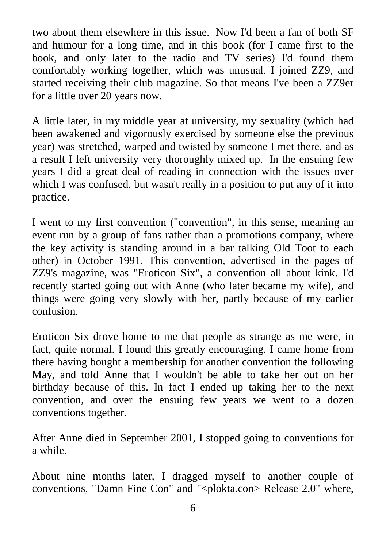two about them elsewhere in this issue. Now I'd been a fan of both SF and humour for a long time, and in this book (for I came first to the book, and only later to the radio and TV series) I'd found them comfortably working together, which was unusual. I joined ZZ9, and started receiving their club magazine. So that means I've been a ZZ9er for a little over 20 years now.

A little later, in my middle year at university, my sexuality (which had been awakened and vigorously exercised by someone else the previous year) was stretched, warped and twisted by someone I met there, and as a result I left university very thoroughly mixed up. In the ensuing few years I did a great deal of reading in connection with the issues over which I was confused, but wasn't really in a position to put any of it into practice.

I went to my first convention ("convention", in this sense, meaning an event run by a group of fans rather than a promotions company, where the key activity is standing around in a bar talking Old Toot to each other) in October 1991. This convention, advertised in the pages of ZZ9's magazine, was "Eroticon Six", a convention all about kink. I'd recently started going out with Anne (who later became my wife), and things were going very slowly with her, partly because of my earlier confusion.

Eroticon Six drove home to me that people as strange as me were, in fact, quite normal. I found this greatly encouraging. I came home from there having bought a membership for another convention the following May, and told Anne that I wouldn't be able to take her out on her birthday because of this. In fact I ended up taking her to the next convention, and over the ensuing few years we went to a dozen conventions together.

After Anne died in September 2001, I stopped going to conventions for a while.

About nine months later, I dragged myself to another couple of conventions, "Damn Fine Con" and "<plokta.con> Release 2.0" where,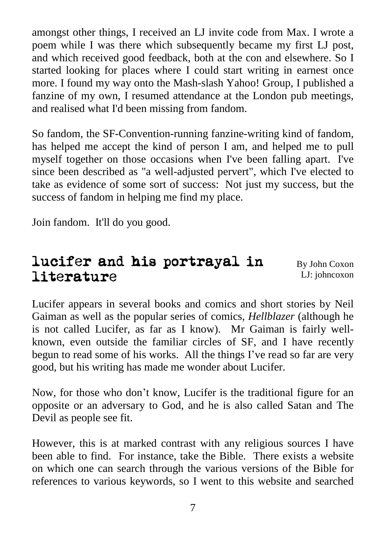amongst other things, I received an LJ invite code from Max. I wrote a poem while I was there which subsequently became my first LJ post, and which received good feedback, both at the con and elsewhere. So I started looking for places where I could start writing in earnest once more. I found my way onto the Mash-slash Yahoo! Group, I published a fanzine of my own, I resumed attendance at the London pub meetings, and realised what I'd been missing from fandom.

So fandom, the SF-Convention-running fanzine-writing kind of fandom, has helped me accept the kind of person I am, and helped me to pull myself together on those occasions when I've been falling apart. I've since been described as "a well-adjusted pervert", which I've elected to take as evidence of some sort of success: Not just my success, but the success of fandom in helping me find my place.

Join fandom. It'll do you good.

## lucifer and his portrayal in literature

By John Coxon LJ: johncoxon

Lucifer appears in several books and comics and short stories by Neil Gaiman as well as the popular series of comics, *Hellblazer* (although he is not called Lucifer, as far as I know). Mr Gaiman is fairly well known, even outside the familiar circles of SF, and I have recently is not called Lucifer, as far as I know). Mr Gaiman is fairly well-<br>known, even outside the familiar circles of SF, and I have recently<br>begun to read some of his works. All the things I've read so far are very good, but his writing has made me wonder about Lucifer.

Now, for those who don't know, Lucifer is the traditional figure for an opposite or an adversary to God, and he is also called Satan and The Devil as people see fit.

However, this is at marked contrast with any religious sources I have been able to find. For instance, take the Bible. There exists a website on which one can search through the various versions of the Bible for references to various keywords, so I went to this website and searched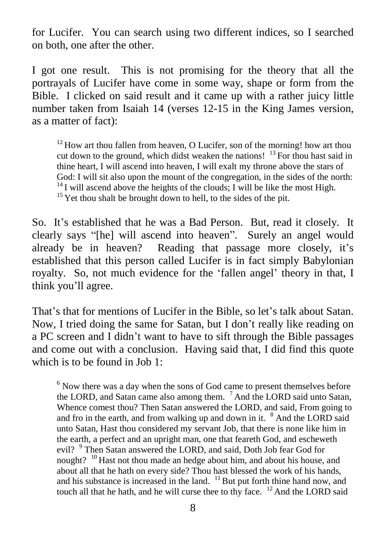for Lucifer. You can search using two different indices, so I searched on both, one after the other.

I got one result. This is not promising for the theory that all the portrayals of Lucifer have come in some way, shape or form from the Bible. I clicked on said result and it came up with a rather juicy little number taken from Isaiah 14 (verses 12-15 in the King James version, as a matter of fact):

 $12$  How art thou fallen from heaven, O Lucifer, son of the morning! how art thou cut down to the ground, which didst weaken the nations! <sup>13</sup> For thou hast said in thine heart, I will ascend into heaven, I will exalt my throne above the stars of God: I will sit also upon the mount of the congregation, in the sides of the north:  $^{14}$ I will ascend above the heights of the clouds; I will be like the most High.<br><sup>15</sup> Yet thou shalt be brought down to hell, to the si

So. It's established that he was a Bad Person. But, read it closely. It So. It's established that he was a Bad Person. But, read it closely. It clearly says "[he] will ascend into heaven". Surely an angel would So. It's established that he was a Bad Person. But, read it closely. It clearly says "[he] will ascend into heaven". Surely an angel would already be in heaven? Reading that passage more closely, it's established that this person called Lucifer is in fact simply Babylonian already be in heaven? Reading that passage more closely, it's established that this person called Lucifer is in fact simply Babylonian royalty. So, not much evidence for the 'fallen angel' theory in that, I established that this pe<br>royalty. So, not much<br>think you'll agree. think you'll agree.<br>That's that for mentions of Lucifer in the Bible, so let's talk about Satan.

Now, I tried doing the same for Satan, but I don't really like reading on a PC screen and I didn't want to have to sift through the Bible passages and come out with a conclusion. Having said that, I did find this quote which is to be found in Job 1:

 $6$  Now there was a day when the sons of God came to present themselves before the LORD, and Satan came also among them. <sup>7</sup> And the LORD said unto Satan, Whence comest thou? Then Satan answered the LORD, and said, From going to and fro in the earth, and from walking up and down in it.  $8$  And the LORD said unto Satan, Hast thou considered my servant Job, that there is none like him in the earth, a perfect and an upright man, one that feareth God, and escheweth evil? <sup>9</sup> Then Satan answered the LORD, and said, Doth Job fear God for nought? <sup>10</sup> Hast not thou made an hedge about him, and about his house, and about all that he hath on every side? Thou hast blessed the work of his hands, and his substance is increased in the land.  $11$  But put forth thine hand now, and touch all that he hath, and he will curse thee to thy face. <sup>12</sup> And the LORD said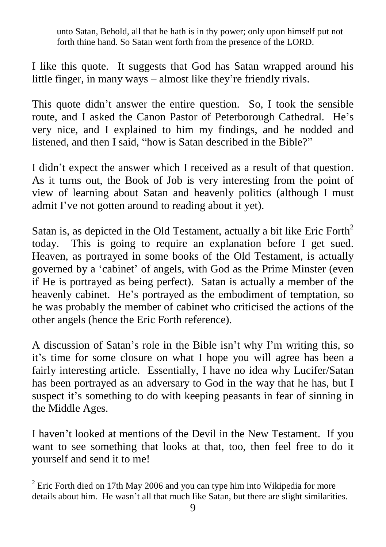unto Satan, Behold, all that he hath is in thy power; only upon himself put not forth thine hand. So Satan went forth from the presence of the LORD.

I like this quote. It suggests that God has Satan wrapped around his I like this quote. It suggests that God has Satan wrapped aroun<br>little finger, in many ways – almost like they're friendly rivals. It the finger, in many ways – almost like they're friendly rivals.<br>This quote didn't answer the entire question. So, I took the sensible

route, and I asked the Canon Pastor of Peterborough Cathedral. He's very nice, and I explained to him my findings, and he nodded and route, and I asked the Canon Pastor of Peterborough Cathedral. He'<br>very nice, and I explained to him my findings, and he nodded an<br>listened, and then I said, "how is Satan described in the Bible?" I didn<sup>'</sup>t expect the answer which I received as a result of that question.

As it turns out, the Book of Job is very interesting from the point of view of learning about Satan and heavenly politics (although I must As it turns out, the Book of Job is very interesting fro<br>view of learning about Satan and heavenly politics (a<br>admit I've not gotten around to reading about it yet).

Satan is, as depicted in the Old Testament, actually a bit like Eric Forth<sup>2</sup> today. This is going to require an explanation before I get sued. Heaven, as portrayed in some books of the Old Testament, is actually today. This is going to require an explanation before I get sued.<br>Heaven, as portrayed in some books of the Old Testament, is actually<br>governed by a 'cabinet' of angels, with God as the Prime Minster (even if He is portrayed as being perfect). Satan is actually a member of the governed by a 'cabinet' of angels, with God as the Prime Minster (even<br>if He is portrayed as being perfect). Satan is actually a member of the<br>heavenly cabinet. He's portrayed as the embodiment of temptation, so he was probably the member of cabinet who criticised the actions of the other angels (hence the Eric Forth reference).

A discussion of Satan's role in the Bible isn't why I'm writing this, so it's time for some closure on what I hope you will agree has been a fairly interesting article. Essentially, I have no idea why Lucifer/Satan has been portrayed as an adversary to God in the way that he has, but I suspect it's something to do with keeping peasants in fear of sinning in has been portrayed as an adversary to God in the way that he has, but I the Middle Ages.

I haven't looked at mentions of the Devil in the New Testament. If you want to see something that looks at that, too, then feel free to do it yourself and send it to me!

 $2$  Eric Forth died on 17th May 2006 and you can type him into Wikipedia for more details about him. He wasn't all that much like Satan, but there are slight similarities.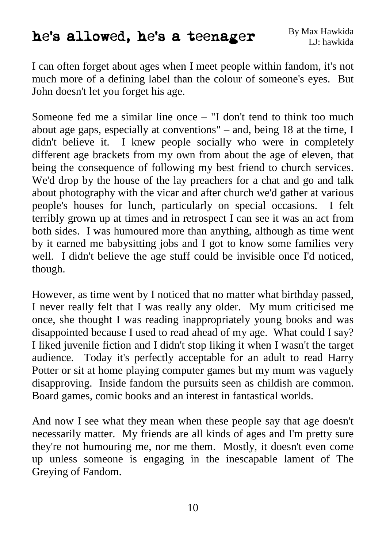# he's allowed, he's a teenager

I can often forget about ages when I meet people within fandom, it's not much more of a defining label than the colour of someone's eyes. But John doesn't let you forget his age.

Someone fed me a similar line once  $-$  "I don't tend to think too much about age gaps, especially at conventions"  $-$  and, being 18 at the time, I didn't believe it. I knew people socially who were in completely different age brackets from my own from about the age of eleven, that being the consequence of following my best friend to church services. We'd drop by the house of the lay preachers for a chat and go and talk about photography with the vicar and after church we'd gather at various people's houses for lunch, particularly on special occasions. I felt terribly grown up at times and in retrospect I can see it was an act from both sides. I was humoured more than anything, although as time went by it earned me babysitting jobs and I got to know some families very well. I didn't believe the age stuff could be invisible once I'd noticed, though.

However, as time went by I noticed that no matter what birthday passed, I never really felt that I was really any older. My mum criticised me once, she thought I was reading inappropriately young books and was disappointed because I used to read ahead of my age. What could I say? I liked juvenile fiction and I didn't stop liking it when I wasn't the target audience. Today it's perfectly acceptable for an adult to read Harry Potter or sit at home playing computer games but my mum was vaguely disapproving. Inside fandom the pursuits seen as childish are common. Board games, comic books and an interest in fantastical worlds.

And now I see what they mean when these people say that age doesn't necessarily matter. My friends are all kinds of ages and I'm pretty sure they're not humouring me, nor me them. Mostly, it doesn't even come up unless someone is engaging in the inescapable lament of The Greying of Fandom.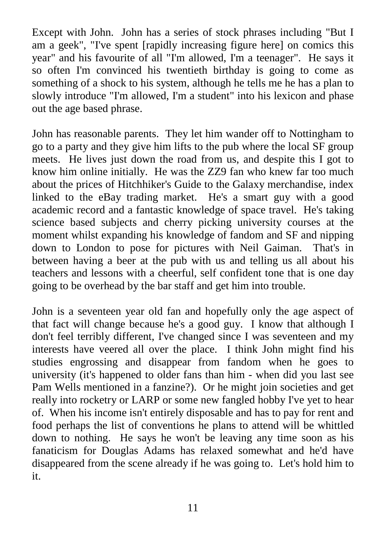Except with John. John has a series of stock phrases including "But I am a geek", "I've spent [rapidly increasing figure here] on comics this year" and his favourite of all "I'm allowed, I'm a teenager". He says it so often I'm convinced his twentieth birthday is going to come as something of a shock to his system, although he tells me he has a plan to slowly introduce "I'm allowed, I'm a student" into his lexicon and phase out the age based phrase.

John has reasonable parents. They let him wander off to Nottingham to go to a party and they give him lifts to the pub where the local SF group meets. He lives just down the road from us, and despite this I got to know him online initially. He was the ZZ9 fan who knew far too much about the prices of Hitchhiker's Guide to the Galaxy merchandise, index linked to the eBay trading market. He's a smart guy with a good academic record and a fantastic knowledge of space travel. He's taking science based subjects and cherry picking university courses at the moment whilst expanding his knowledge of fandom and SF and nipping down to London to pose for pictures with Neil Gaiman. That's in between having a beer at the pub with us and telling us all about his teachers and lessons with a cheerful, self confident tone that is one day going to be overhead by the bar staff and get him into trouble.

John is a seventeen year old fan and hopefully only the age aspect of that fact will change because he's a good guy. I know that although I don't feel terribly different, I've changed since I was seventeen and my interests have veered all over the place. I think John might find his studies engrossing and disappear from fandom when he goes to university (it's happened to older fans than him - when did you last see Pam Wells mentioned in a fanzine?). Or he might join societies and get really into rocketry or LARP or some new fangled hobby I've yet to hear of. When his income isn't entirely disposable and has to pay for rent and food perhaps the list of conventions he plans to attend will be whittled down to nothing. He says he won't be leaving any time soon as his fanaticism for Douglas Adams has relaxed somewhat and he'd have disappeared from the scene already if he was going to. Let's hold him to it.